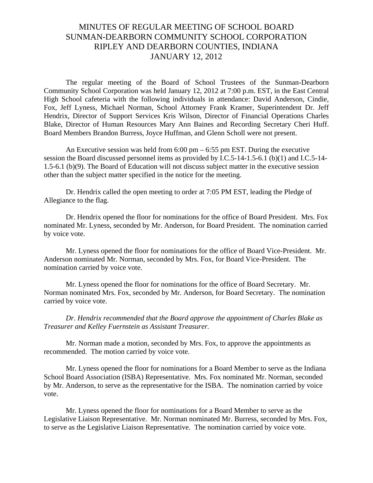## MINUTES OF REGULAR MEETING OF SCHOOL BOARD SUNMAN-DEARBORN COMMUNITY SCHOOL CORPORATION RIPLEY AND DEARBORN COUNTIES, INDIANA JANUARY 12, 2012

The regular meeting of the Board of School Trustees of the Sunman-Dearborn Community School Corporation was held January 12, 2012 at 7:00 p.m. EST, in the East Central High School cafeteria with the following individuals in attendance: David Anderson, Cindie, Fox, Jeff Lyness, Michael Norman, School Attorney Frank Kramer, Superintendent Dr. Jeff Hendrix, Director of Support Services Kris Wilson, Director of Financial Operations Charles Blake, Director of Human Resources Mary Ann Baines and Recording Secretary Cheri Huff. Board Members Brandon Burress, Joyce Huffman, and Glenn Scholl were not present.

An Executive session was held from 6:00 pm – 6:55 pm EST. During the executive session the Board discussed personnel items as provided by I.C.5-14-1.5-6.1 (b)(1) and I.C.5-14- 1.5-6.1 (b)(9). The Board of Education will not discuss subject matter in the executive session other than the subject matter specified in the notice for the meeting.

Dr. Hendrix called the open meeting to order at 7:05 PM EST, leading the Pledge of Allegiance to the flag.

Dr. Hendrix opened the floor for nominations for the office of Board President. Mrs. Fox nominated Mr. Lyness, seconded by Mr. Anderson, for Board President. The nomination carried by voice vote.

 Mr. Lyness opened the floor for nominations for the office of Board Vice-President. Mr. Anderson nominated Mr. Norman, seconded by Mrs. Fox, for Board Vice-President. The nomination carried by voice vote.

Mr. Lyness opened the floor for nominations for the office of Board Secretary. Mr. Norman nominated Mrs. Fox, seconded by Mr. Anderson, for Board Secretary. The nomination carried by voice vote.

*Dr. Hendrix recommended that the Board approve the appointment of Charles Blake as Treasurer and Kelley Fuernstein as Assistant Treasurer.*

Mr. Norman made a motion, seconded by Mrs. Fox, to approve the appointments as recommended. The motion carried by voice vote.

Mr. Lyness opened the floor for nominations for a Board Member to serve as the Indiana School Board Association (ISBA) Representative. Mrs. Fox nominated Mr. Norman, seconded by Mr. Anderson, to serve as the representative for the ISBA. The nomination carried by voice vote.

Mr. Lyness opened the floor for nominations for a Board Member to serve as the Legislative Liaison Representative. Mr. Norman nominated Mr. Burress, seconded by Mrs. Fox, to serve as the Legislative Liaison Representative. The nomination carried by voice vote.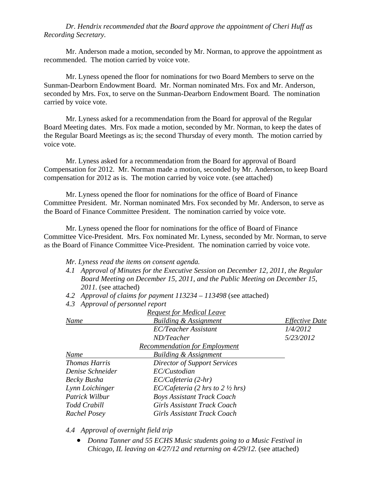## *Dr. Hendrix recommended that the Board approve the appointment of Cheri Huff as Recording Secretary.*

Mr. Anderson made a motion, seconded by Mr. Norman, to approve the appointment as recommended. The motion carried by voice vote.

Mr. Lyness opened the floor for nominations for two Board Members to serve on the Sunman-Dearborn Endowment Board. Mr. Norman nominated Mrs. Fox and Mr. Anderson, seconded by Mrs. Fox, to serve on the Sunman-Dearborn Endowment Board. The nomination carried by voice vote.

Mr. Lyness asked for a recommendation from the Board for approval of the Regular Board Meeting dates. Mrs. Fox made a motion, seconded by Mr. Norman, to keep the dates of the Regular Board Meetings as is; the second Thursday of every month. The motion carried by voice vote.

Mr. Lyness asked for a recommendation from the Board for approval of Board Compensation for 2012. Mr. Norman made a motion, seconded by Mr. Anderson, to keep Board compensation for 2012 as is. The motion carried by voice vote. (see attached)

Mr. Lyness opened the floor for nominations for the office of Board of Finance Committee President. Mr. Norman nominated Mrs. Fox seconded by Mr. Anderson, to serve as the Board of Finance Committee President. The nomination carried by voice vote.

Mr. Lyness opened the floor for nominations for the office of Board of Finance Committee Vice-President. Mrs. Fox nominated Mr. Lyness, seconded by Mr. Norman, to serve as the Board of Finance Committee Vice-President. The nomination carried by voice vote.

- *Mr. Lyness read the items on consent agenda.*
- *4.1 Approval of Minutes for the Executive Session on December 12, 2011, the Regular Board Meeting on December 15, 2011, and the Public Meeting on December 15, 2011.* (see attached)
- *4.2 Approval of claims for payment 113234 113498* (see attached)
- *4.3 Approval of personnel report*

|                      | <b>Request for Medical Leave</b>            |                       |
|----------------------|---------------------------------------------|-----------------------|
| Name                 | <b>Building &amp; Assignment</b>            | <b>Effective Date</b> |
|                      | <b>EC/Teacher Assistant</b>                 | 1/4/2012              |
|                      | ND/Teacher                                  | 5/23/2012             |
|                      | <b>Recommendation for Employment</b>        |                       |
| Name                 | <b>Building &amp; Assignment</b>            |                       |
| <b>Thomas Harris</b> | <b>Director of Support Services</b>         |                       |
| Denise Schneider     | EC/Custodian                                |                       |
| Becky Busha          | $EC/Cafeteria (2-hr)$                       |                       |
| Lynn Loichinger      | EC/Cafeteria (2 hrs to $2 \frac{1}{2}$ hrs) |                       |
| Patrick Wilbur       | <b>Boys Assistant Track Coach</b>           |                       |
| Todd Crabill         | <b>Girls Assistant Track Coach</b>          |                       |
| Rachel Posey         | Girls Assistant Track Coach                 |                       |

*4.4 Approval of overnight field trip* 

 *Donna Tanner and 55 ECHS Music students going to a Music Festival in Chicago, IL leaving on 4/27/12 and returning on 4/29/12.* (see attached)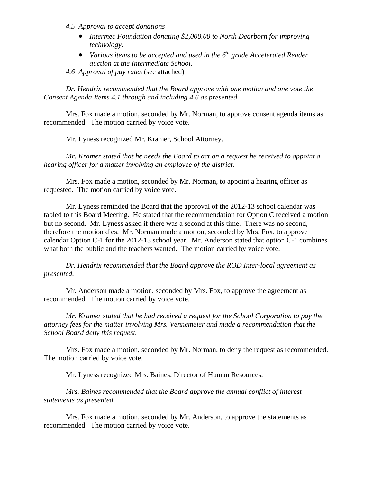- *4.5 Approval to accept donations* 
	- *Intermec Foundation donating \$2,000.00 to North Dearborn for improving technology.*
	- *Various items to be accepted and used in the 6th grade Accelerated Reader auction at the Intermediate School.*
- *4.6 Approval of pay rates* (see attached)

*Dr. Hendrix recommended that the Board approve with one motion and one vote the Consent Agenda Items 4.1 through and including 4.6 as presented.* 

Mrs. Fox made a motion, seconded by Mr. Norman, to approve consent agenda items as recommended. The motion carried by voice vote.

Mr. Lyness recognized Mr. Kramer, School Attorney.

*Mr. Kramer stated that he needs the Board to act on a request he received to appoint a hearing officer for a matter involving an employee of the district.*

 Mrs. Fox made a motion, seconded by Mr. Norman, to appoint a hearing officer as requested. The motion carried by voice vote.

Mr. Lyness reminded the Board that the approval of the 2012-13 school calendar was tabled to this Board Meeting. He stated that the recommendation for Option C received a motion but no second. Mr. Lyness asked if there was a second at this time. There was no second, therefore the motion dies. Mr. Norman made a motion, seconded by Mrs. Fox, to approve calendar Option C-1 for the 2012-13 school year. Mr. Anderson stated that option C-1 combines what both the public and the teachers wanted. The motion carried by voice vote.

*Dr. Hendrix recommended that the Board approve the ROD Inter-local agreement as presented.* 

 Mr. Anderson made a motion, seconded by Mrs. Fox, to approve the agreement as recommended. The motion carried by voice vote.

*Mr. Kramer stated that he had received a request for the School Corporation to pay the attorney fees for the matter involving Mrs. Vennemeier and made a recommendation that the School Board deny this request.* 

Mrs. Fox made a motion, seconded by Mr. Norman, to deny the request as recommended. The motion carried by voice vote.

Mr. Lyness recognized Mrs. Baines, Director of Human Resources.

*Mrs. Baines recommended that the Board approve the annual conflict of interest statements as presented.* 

Mrs. Fox made a motion, seconded by Mr. Anderson, to approve the statements as recommended. The motion carried by voice vote.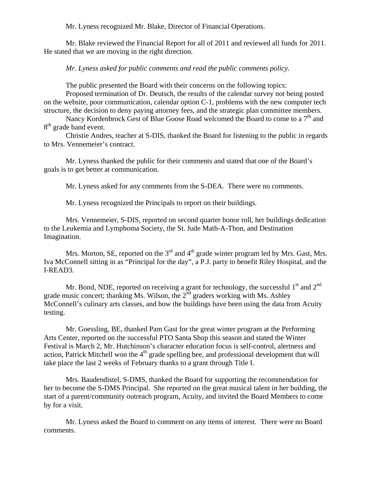Mr. Lyness recognized Mr. Blake, Director of Financial Operations.

Mr. Blake reviewed the Financial Report for all of 2011 and reviewed all funds for 2011. He stated that we are moving in the right direction.

*Mr. Lyness asked for public comments and read the public comments policy.* 

The public presented the Board with their concerns on the following topics:

Proposed termination of Dr. Deutsch, the results of the calendar survey not being posted on the website, poor communication, calendar option C-1, problems with the new computer tech structure, the decision to deny paying attorney fees, and the strategic plan committee members.

Nancy Kordenbrock Gest of Blue Goose Road welcomed the Board to come to a  $7<sup>th</sup>$  and 8<sup>th</sup> grade band event.

 Christie Andres, teacher at S-DIS, thanked the Board for listening to the public in regards to Mrs. Vennemeier's contract.

 Mr. Lyness thanked the public for their comments and stated that one of the Board's goals is to get better at communication.

Mr. Lyness asked for any comments from the S-DEA. There were no comments.

Mr. Lyness recognized the Principals to report on their buildings.

 Mrs. Vennemeier, S-DIS, reported on second quarter honor roll, her buildings dedication to the Leukemia and Lymphoma Society, the St. Jude Math-A-Thon, and Destination Imagination.

Mrs. Morton, SE, reported on the  $3<sup>rd</sup>$  and  $4<sup>th</sup>$  grade winter program led by Mrs. Gast, Mrs. Iva McConnell sitting in as "Principal for the day", a P.J. party to benefit Riley Hospital, and the I-READ3.

Mr. Bond, NDE, reported on receiving a grant for technology, the successful  $1<sup>st</sup>$  and  $2<sup>nd</sup>$ grade music concert; thanking Ms. Wilson, the  $2^{nd}$  graders working with Ms. Ashley McConnell's culinary arts classes, and how the buildings have been using the data from Acuity testing.

 Mr. Goessling, BE, thanked Pam Gast for the great winter program at the Performing Arts Center, reported on the successful PTO Santa Shop this season and stated the Winter Festival is March 2, Mr. Hutchinson's character education focus is self-control, alertness and action, Patrick Mitchell won the  $4<sup>th</sup>$  grade spelling bee, and professional development that will take place the last 2 weeks of February thanks to a grant through Title I.

 Mrs. Baudendistel, S-DMS, thanked the Board for supporting the recommendation for her to become the S-DMS Principal. She reported on the great musical talent in her building, the start of a parent/community outreach program, Acuity, and invited the Board Members to come by for a visit.

 Mr. Lyness asked the Board to comment on any items of interest. There were no Board comments.